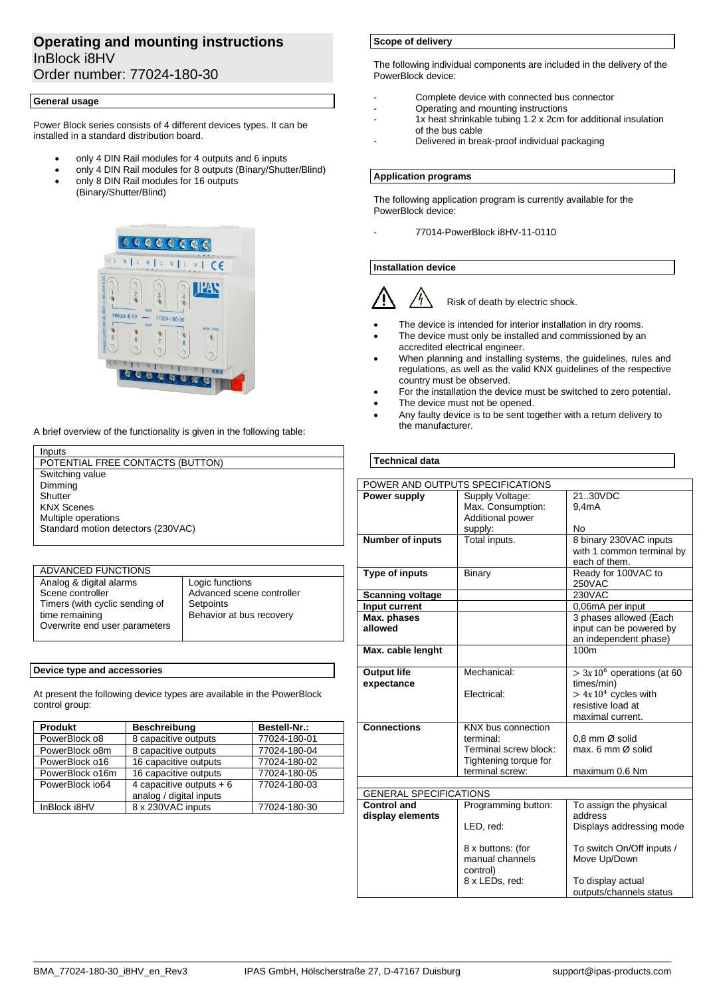# **Operating and mounting instructions** InBlock i8HV Order number: 77024-180-30

### **General usage**

Power Block series consists of 4 different devices types. It can be installed in a standard distribution board.

- only 4 DIN Rail modules for 4 outputs and 6 inputs
- only 4 DIN Rail modules for 8 outputs (Binary/Shutter/Blind)
- only 8 DIN Rail modules for 16 outputs (Binary/Shutter/Blind)



A brief overview of the functionality is given in the following table:

# Inputs

POTENTIAL FREE CONTACTS (BUTTON) Switching value Dimming **Shutter** KNX Scenes Multiple operations Standard motion detectors (230VAC)

| ADVANCED FUNCTIONS             |                           |
|--------------------------------|---------------------------|
| Analog & digital alarms        | Logic functions           |
| Scene controller               | Advanced scene controller |
| Timers (with cyclic sending of | Setpoints                 |
| time remaining                 | Behavior at bus recovery  |
| Overwrite end user parameters  |                           |
|                                |                           |

### **Device type and accessories**

At present the following device types are available in the PowerBlock control group:

| <b>Produkt</b>  | <b>Beschreibung</b>                                  | Bestell-Nr.: |
|-----------------|------------------------------------------------------|--------------|
| PowerBlock o8   | 8 capacitive outputs                                 | 77024-180-01 |
| PowerBlock o8m  | 8 capacitive outputs                                 | 77024-180-04 |
| PowerBlock o16  | 16 capacitive outputs                                | 77024-180-02 |
| PowerBlock o16m | 16 capacitive outputs                                | 77024-180-05 |
| PowerBlock io64 | 4 capacitive outputs $+6$<br>analog / digital inputs | 77024-180-03 |
| InBlock i8HV    | 8 x 230VAC inputs                                    | 77024-180-30 |

## **Scope of delivery**

The following individual components are included in the delivery of the PowerBlock device:

- Complete device with connected bus connector
- Operating and mounting instructions
- 1x heat shrinkable tubing 1.2 x 2cm for additional insulation of the bus cable
- Delivered in break-proof individual packaging

#### **Application programs**

The following application program is currently available for the PowerBlock device:

- 77014-PowerBlock i8HV-11-0110

# **Installation device**



Risk of death by electric shock.

- The device is intended for interior installation in dry rooms.
- The device must only be installed and commissioned by an accredited electrical engineer.
- When planning and installing systems, the guidelines, rules and regulations, as well as the valid KNX guidelines of the respective country must be observed.
- For the installation the device must be switched to zero potential.
- The device must not be opened.
- Any faulty device is to be sent together with a return delivery to the manufacturer.

# **Technical data**

| POWER AND OUTPUTS SPECIFICATIONS |                       |                                           |  |
|----------------------------------|-----------------------|-------------------------------------------|--|
| Power supply                     | Supply Voltage:       | 2130VDC                                   |  |
|                                  | Max. Consumption:     | 9.4 <sub>m</sub> A                        |  |
|                                  | Additional power      |                                           |  |
|                                  | supply:               | No                                        |  |
| <b>Number of inputs</b>          | Total inputs.         | 8 binary 230VAC inputs                    |  |
|                                  |                       | with 1 common terminal by                 |  |
|                                  |                       | each of them.                             |  |
| <b>Type of inputs</b>            | Binary                | Ready for 100VAC to                       |  |
|                                  |                       | 250VAC                                    |  |
| <b>Scanning voltage</b>          |                       | 230VAC                                    |  |
| Input current                    |                       | 0,06mA per input                          |  |
| Max. phases                      |                       | 3 phases allowed (Each                    |  |
| allowed                          |                       | input can be powered by                   |  |
|                                  |                       | an independent phase)                     |  |
| Max. cable lenght                |                       | 100m                                      |  |
|                                  | Mechanical:           |                                           |  |
| <b>Output life</b><br>expectance |                       | $> 3x106$ operations (at 60<br>times/min) |  |
|                                  | Flectrical:           | $> 4x104$ cycles with                     |  |
|                                  |                       | resistive load at                         |  |
|                                  |                       | maximal current.                          |  |
| <b>Connections</b>               | KNX bus connection    |                                           |  |
|                                  | terminal:             | 0.8 mm Ø solid                            |  |
|                                  | Terminal screw block: | max. $6 \text{ mm } \varnothing$ solid    |  |
|                                  | Tightening torque for |                                           |  |
|                                  | terminal screw:       | maximum 0.6 Nm                            |  |
|                                  |                       |                                           |  |
| <b>GENERAL SPECIFICATIONS</b>    |                       |                                           |  |
| <b>Control and</b>               | Programming button:   | To assign the physical                    |  |
| display elements                 |                       | address                                   |  |
|                                  | LED, red:             | Displays addressing mode                  |  |
|                                  |                       |                                           |  |
|                                  | 8 x buttons: (for     | To switch On/Off inputs /                 |  |
|                                  | manual channels       | Move Up/Down                              |  |
|                                  | control)              |                                           |  |
|                                  | 8 x LEDs, red:        | To display actual                         |  |
|                                  |                       | outputs/channels status                   |  |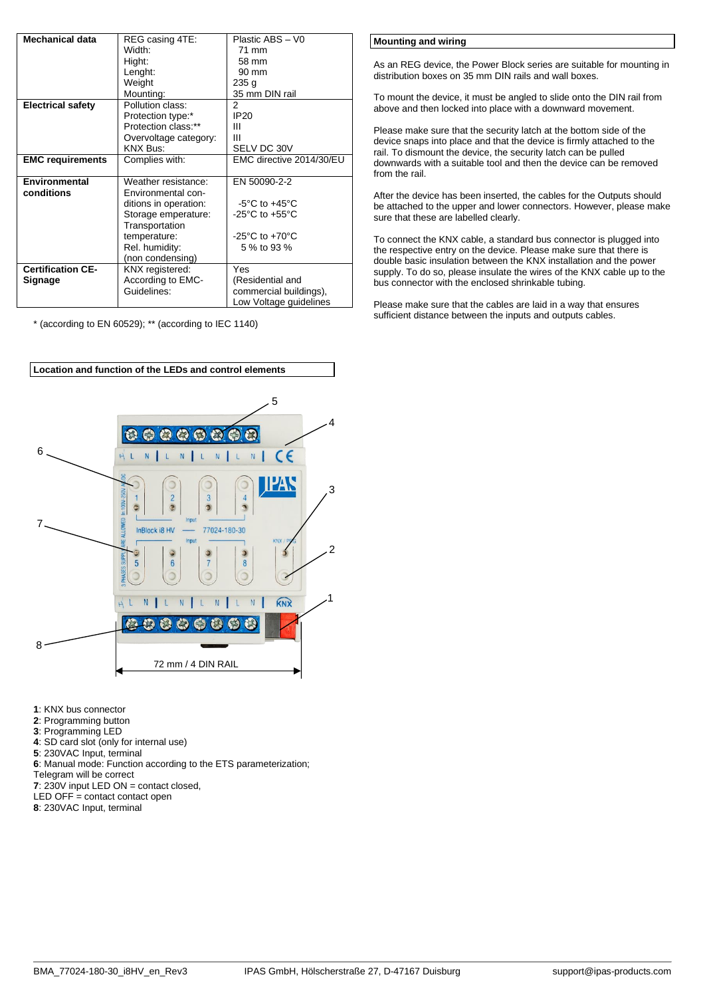| <b>Mechanical data</b>   | REG casing 4TE:       | Plastic ABS - V0                   |
|--------------------------|-----------------------|------------------------------------|
|                          | Width:                | 71 mm                              |
|                          | Hight:                | 58 mm                              |
|                          | Lenght:               | $90 \text{ mm}$                    |
|                          | Weight                | 235 <sub>g</sub>                   |
|                          | Mounting:             | 35 mm DIN rail                     |
| <b>Electrical safety</b> | Pollution class:      | 2                                  |
|                          | Protection type:*     | <b>IP20</b>                        |
|                          | Protection class:**   | Ш                                  |
|                          | Overvoltage category: | Ш                                  |
|                          | <b>KNX Bus:</b>       | SELV DC 30V                        |
| <b>EMC requirements</b>  | Complies with:        | EMC directive 2014/30/EU           |
|                          |                       |                                    |
| Environmental            | Weather resistance:   | EN 50090-2-2                       |
| conditions               | Environmental con-    |                                    |
|                          | ditions in operation: | $-5^{\circ}$ C to $+45^{\circ}$ C  |
|                          | Storage emperature:   | $-25^{\circ}$ C to $+55^{\circ}$ C |
|                          | Transportation        |                                    |
|                          | temperature:          | $-25^{\circ}$ C to $+70^{\circ}$ C |
|                          | Rel. humidity:        | 5 % to 93 %                        |
|                          | (non condensing)      |                                    |
| <b>Certification CE-</b> | KNX registered:       | Yes                                |
| Signage                  | According to EMC-     | (Residential and                   |
|                          | Guidelines:           | commercial buildings),             |
|                          |                       | Low Voltage guidelines             |

\* (according to EN 60529); \*\* (according to IEC 1140)



- **1**: KNX bus connector
- **2**: Programming button
- **3**: Programming LED
- **4**: SD card slot (only for internal use)
- **5**: 230VAC Input, terminal
- **6**: Manual mode: Function according to the ETS parameterization;
- Telegram will be correct
- **7**: 230V input LED ON = contact closed,
- LED OFF = contact contact open
- **8**: 230VAC Input, terminal

**Mounting and wiring**

As an REG device, the Power Block series are suitable for mounting in distribution boxes on 35 mm DIN rails and wall boxes.

To mount the device, it must be angled to slide onto the DIN rail from above and then locked into place with a downward movement.

Please make sure that the security latch at the bottom side of the device snaps into place and that the device is firmly attached to the rail. To dismount the device, the security latch can be pulled downwards with a suitable tool and then the device can be removed from the rail.

After the device has been inserted, the cables for the Outputs should be attached to the upper and lower connectors. However, please make sure that these are labelled clearly.

To connect the KNX cable, a standard bus connector is plugged into the respective entry on the device. Please make sure that there is double basic insulation between the KNX installation and the power supply. To do so, please insulate the wires of the KNX cable up to the bus connector with the enclosed shrinkable tubing.

Please make sure that the cables are laid in a way that ensures sufficient distance between the inputs and outputs cables.